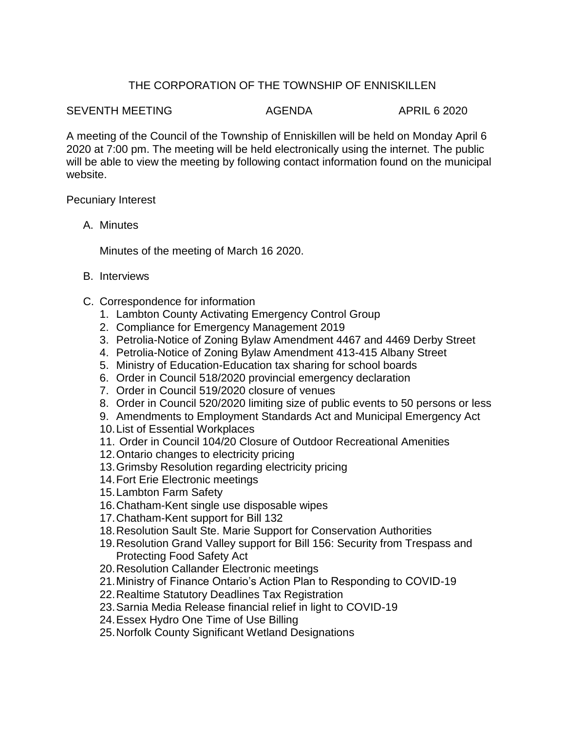## THE CORPORATION OF THE TOWNSHIP OF ENNISKILLEN

## SEVENTH MEETING AGENDA AGENDA APRIL 6 2020

A meeting of the Council of the Township of Enniskillen will be held on Monday April 6 2020 at 7:00 pm. The meeting will be held electronically using the internet. The public will be able to view the meeting by following contact information found on the municipal website.

Pecuniary Interest

A. Minutes

Minutes of the meeting of March 16 2020.

- B. Interviews
- C. Correspondence for information
	- 1. Lambton County Activating Emergency Control Group
	- 2. Compliance for Emergency Management 2019
	- 3. Petrolia-Notice of Zoning Bylaw Amendment 4467 and 4469 Derby Street
	- 4. Petrolia-Notice of Zoning Bylaw Amendment 413-415 Albany Street
	- 5. Ministry of Education-Education tax sharing for school boards
	- 6. Order in Council 518/2020 provincial emergency declaration
	- 7. Order in Council 519/2020 closure of venues
	- 8. Order in Council 520/2020 limiting size of public events to 50 persons or less
	- 9. Amendments to Employment Standards Act and Municipal Emergency Act
	- 10.List of Essential Workplaces
	- 11. Order in Council 104/20 Closure of Outdoor Recreational Amenities
	- 12.Ontario changes to electricity pricing
	- 13.Grimsby Resolution regarding electricity pricing
	- 14.Fort Erie Electronic meetings
	- 15.Lambton Farm Safety
	- 16.Chatham-Kent single use disposable wipes
	- 17.Chatham-Kent support for Bill 132
	- 18.Resolution Sault Ste. Marie Support for Conservation Authorities
	- 19.Resolution Grand Valley support for Bill 156: Security from Trespass and Protecting Food Safety Act
	- 20.Resolution Callander Electronic meetings
	- 21.Ministry of Finance Ontario's Action Plan to Responding to COVID-19
	- 22.Realtime Statutory Deadlines Tax Registration
	- 23.Sarnia Media Release financial relief in light to COVID-19
	- 24.Essex Hydro One Time of Use Billing
	- 25.Norfolk County Significant Wetland Designations